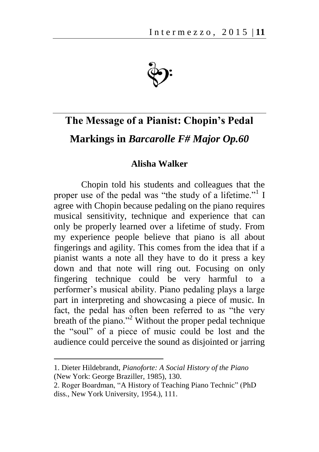

## **The Message of a Pianist: Chopin's Pedal Markings in** *Barcarolle F# Major Op.60*

## **Alisha Walker**

Chopin told his students and colleagues that the proper use of the pedal was "the study of a lifetime."<sup>1</sup> I agree with Chopin because pedaling on the piano requires musical sensitivity, technique and experience that can only be properly learned over a lifetime of study. From my experience people believe that piano is all about fingerings and agility. This comes from the idea that if a pianist wants a note all they have to do it press a key down and that note will ring out. Focusing on only fingering technique could be very harmful to a performer's musical ability. Piano pedaling plays a large part in interpreting and showcasing a piece of music. In fact, the pedal has often been referred to as "the very breath of the piano."<sup>2</sup> Without the proper pedal technique the "soul" of a piece of music could be lost and the audience could perceive the sound as disjointed or jarring

<sup>1.</sup> Dieter Hildebrandt, *Pianoforte: A Social History of the Piano* (New York: George Braziller, 1985), 130.

<sup>2.</sup> Roger Boardman, "A History of Teaching Piano Technic" (PhD diss., New York University, 1954.), 111.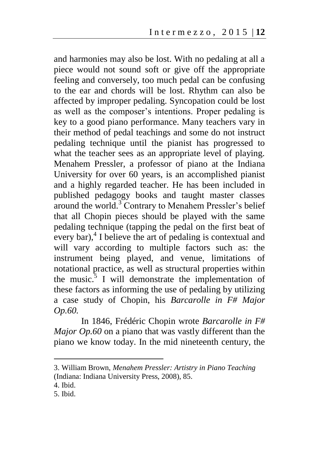and harmonies may also be lost. With no pedaling at all a piece would not sound soft or give off the appropriate feeling and conversely, too much pedal can be confusing to the ear and chords will be lost. Rhythm can also be affected by improper pedaling. Syncopation could be lost as well as the composer's intentions. Proper pedaling is key to a good piano performance. Many teachers vary in their method of pedal teachings and some do not instruct pedaling technique until the pianist has progressed to what the teacher sees as an appropriate level of playing. Menahem Pressler, a professor of piano at the Indiana University for over 60 years, is an accomplished pianist and a highly regarded teacher. He has been included in published pedagogy books and taught master classes around the world.<sup>3</sup> Contrary to Menahem Pressler's belief that all Chopin pieces should be played with the same pedaling technique (tapping the pedal on the first beat of every bar), $4$  I believe the art of pedaling is contextual and will vary according to multiple factors such as: the instrument being played, and venue, limitations of notational practice, as well as structural properties within the music. $3 \times 1$  will demonstrate the implementation of these factors as informing the use of pedaling by utilizing a case study of Chopin, his *Barcarolle in F# Major Op.60.*

In 1846, Frédéric Chopin wrote *Barcarolle in F# Major Op.60* on a piano that was vastly different than the piano we know today. In the mid nineteenth century, the

<sup>3.</sup> William Brown, *Menahem Pressler: Artistry in Piano Teaching* (Indiana: Indiana University Press, 2008), 85.

<sup>4.</sup> Ibid.

<sup>5.</sup> Ibid.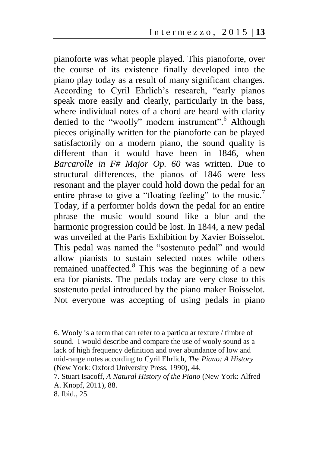pianoforte was what people played. This pianoforte, over the course of its existence finally developed into the piano play today as a result of many significant changes. According to Cyril Ehrlich's research, "early pianos speak more easily and clearly, particularly in the bass, where individual notes of a chord are heard with clarity denied to the "woolly" modern instrument".<sup>6</sup> Although pieces originally written for the pianoforte can be played satisfactorily on a modern piano, the sound quality is different than it would have been in 1846, when *Barcarolle in F# Major Op. 60* was written. Due to structural differences, the pianos of 1846 were less resonant and the player could hold down the pedal for an entire phrase to give a "floating feeling" to the music.<sup>7</sup> Today, if a performer holds down the pedal for an entire phrase the music would sound like a blur and the harmonic progression could be lost. In 1844, a new pedal was unveiled at the Paris Exhibition by Xavier Boisselot. This pedal was named the "sostenuto pedal" and would allow pianists to sustain selected notes while others remained unaffected.<sup>8</sup> This was the beginning of a new era for pianists. The pedals today are very close to this sostenuto pedal introduced by the piano maker Boisselot. Not everyone was accepting of using pedals in piano

<sup>6.</sup> Wooly is a term that can refer to a particular texture / timbre of sound. I would describe and compare the use of wooly sound as a lack of high frequency definition and over abundance of low and mid-range notes according to Cyril Ehrlich, *The Piano: A History*  (New York: Oxford University Press, 1990), 44.

<sup>7.</sup> Stuart Isacoff, *A Natural History of the Piano* (New York: Alfred A. Knopf, 2011), 88.

<sup>8.</sup> Ibid., 25.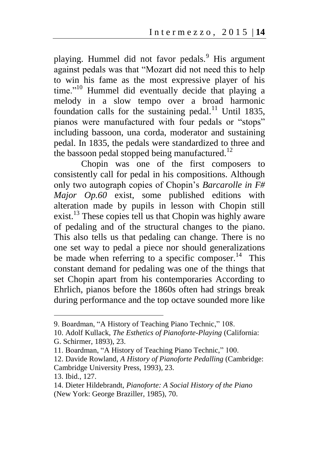playing. Hummel did not favor pedals.<sup>9</sup> His argument against pedals was that "Mozart did not need this to help to win his fame as the most expressive player of his time."<sup>10</sup> Hummel did eventually decide that playing a melody in a slow tempo over a broad harmonic foundation calls for the sustaining pedal.<sup>11</sup> Until 1835, pianos were manufactured with four pedals or "stops" including bassoon, una corda, moderator and sustaining pedal. In 1835, the pedals were standardized to three and the bassoon pedal stopped being manufactured.<sup>12</sup>

Chopin was one of the first composers to consistently call for pedal in his compositions. Although only two autograph copies of Chopin's *Barcarolle in F# Major Op.60* exist, some published editions with alteration made by pupils in lesson with Chopin still exist.<sup>13</sup> These copies tell us that Chopin was highly aware of pedaling and of the structural changes to the piano. This also tells us that pedaling can change. There is no one set way to pedal a piece nor should generalizations be made when referring to a specific composer.<sup>14</sup> This constant demand for pedaling was one of the things that set Chopin apart from his contemporaries According to Ehrlich, pianos before the 1860s often had strings break during performance and the top octave sounded more like

13. Ibid., 127.

<sup>9.</sup> Boardman, "A History of Teaching Piano Technic," 108.

<sup>10.</sup> Adolf Kullack, *The Esthetics of Pianoforte-Playing* (California: G. Schirmer, 1893), 23.

<sup>11.</sup> Boardman, "A History of Teaching Piano Technic," 100.

<sup>12.</sup> Davide Rowland, *A History of Pianoforte Pedalling* (Cambridge: Cambridge University Press, 1993), 23.

<sup>14.</sup> Dieter Hildebrandt, *Pianoforte: A Social History of the Piano* (New York: George Braziller, 1985), 70.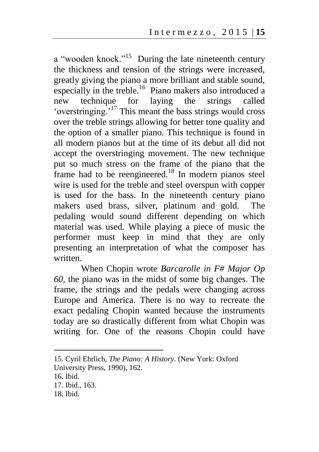a "wooden knock."<sup>15</sup> During the late nineteenth century the thickness and tension of the strings were increased, greatly giving the piano a more brilliant and stable sound, especially in the treble.<sup>16</sup> Piano makers also introduced a new technique for laying the strings called 'overstringing.'<sup>17</sup> This meant the bass strings would cross over the treble strings allowing for better tone quality and the option of a smaller piano. This technique is found in all modern pianos but at the time of its debut all did not accept the overstringing movement. The new technique put so much stress on the frame of the piano that the frame had to be reengineered.<sup>18</sup> In modern pianos steel wire is used for the treble and steel overspun with copper is used for the bass. In the nineteenth century piano makers used brass, silver, platinum and gold. The pedaling would sound different depending on which material was used. While playing a piece of music the performer must keep in mind that they are only presenting an interpretation of what the composer has written.

When Chopin wrote *Barcarolle in F# Major Op 60,* the piano was in the midst of some big changes. The frame, the strings and the pedals were changing across Europe and America. There is no way to recreate the exact pedaling Chopin wanted because the instruments today are so drastically different from what Chopin was writing for. One of the reasons Chopin could have

<sup>15.</sup> Cyril Ehrlich, *The Piano: A History*. (New York: Oxford University Press, 1990), 162.

<sup>16.</sup> Ibid.

<sup>17.</sup> Ibid., 163.

<sup>18.</sup> Ibid.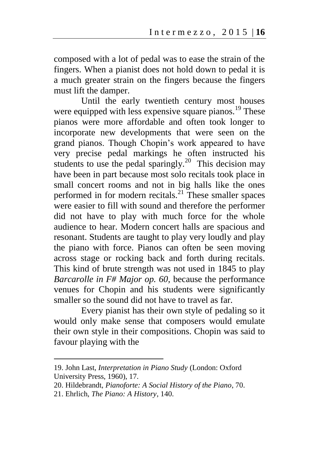composed with a lot of pedal was to ease the strain of the fingers. When a pianist does not hold down to pedal it is a much greater strain on the fingers because the fingers must lift the damper.

Until the early twentieth century most houses were equipped with less expensive square pianos.<sup>19</sup> These pianos were more affordable and often took longer to incorporate new developments that were seen on the grand pianos. Though Chopin's work appeared to have very precise pedal markings he often instructed his students to use the pedal sparingly.<sup>20</sup> This decision may have been in part because most solo recitals took place in small concert rooms and not in big halls like the ones performed in for modern recitals. $^{21}$  These smaller spaces were easier to fill with sound and therefore the performer did not have to play with much force for the whole audience to hear. Modern concert halls are spacious and resonant. Students are taught to play very loudly and play the piano with force. Pianos can often be seen moving across stage or rocking back and forth during recitals. This kind of brute strength was not used in 1845 to play *Barcarolle in F# Major op. 60,* because the performance venues for Chopin and his students were significantly smaller so the sound did not have to travel as far.

Every pianist has their own style of pedaling so it would only make sense that composers would emulate their own style in their compositions. Chopin was said to favour playing with the

<sup>19.</sup> John Last, *Interpretation in Piano Study* (London: Oxford University Press, 1960), 17.

<sup>20.</sup> Hildebrandt, *Pianoforte: A Social History of the Piano*, 70.

<sup>21.</sup> Ehrlich, *The Piano: A History*, 140.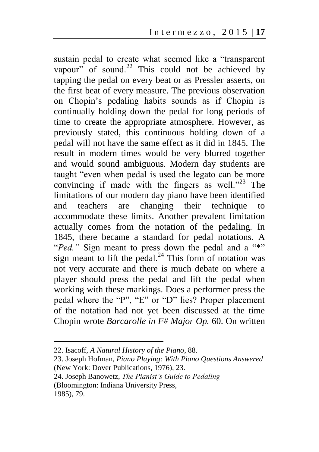sustain pedal to create what seemed like a "transparent vapour" of sound.<sup>22</sup> This could not be achieved by tapping the pedal on every beat or as Pressler asserts, on the first beat of every measure. The previous observation on Chopin's pedaling habits sounds as if Chopin is continually holding down the pedal for long periods of time to create the appropriate atmosphere. However, as previously stated, this continuous holding down of a pedal will not have the same effect as it did in 1845. The result in modern times would be very blurred together and would sound ambiguous. Modern day students are taught "even when pedal is used the legato can be more convincing if made with the fingers as well."<sup>23</sup> The limitations of our modern day piano have been identified and teachers are changing their technique to accommodate these limits. Another prevalent limitation actually comes from the notation of the pedaling. In 1845, there became a standard for pedal notations. A "*Ped.*" Sign meant to press down the pedal and a "\*" sign meant to lift the pedal. $^{24}$  This form of notation was not very accurate and there is much debate on where a player should press the pedal and lift the pedal when working with these markings. Does a performer press the pedal where the "P", "E" or "D" lies? Proper placement of the notation had not yet been discussed at the time Chopin wrote *Barcarolle in F# Major Op.* 60. On written

<sup>22.</sup> Isacoff, *A Natural History of the Piano*, 88.

<sup>23.</sup> Joseph Hofman, *Piano Playing: With Piano Questions Answered* (New York: Dover Publications, 1976), 23.

<sup>24.</sup> Joseph Banowetz, *The Pianist's Guide to Pedaling* 

<sup>(</sup>Bloomington: Indiana University Press, 1985), 79.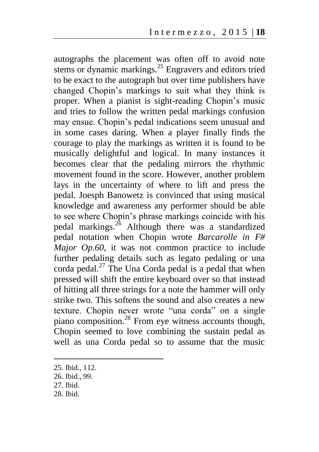autographs the placement was often off to avoid note stems or dynamic markings. $^{25}$  Engravers and editors tried to be exact to the autograph but over time publishers have changed Chopin's markings to suit what they think is proper. When a pianist is sight-reading Chopin's music and tries to follow the written pedal markings confusion may ensue. Chopin's pedal indications seem unusual and in some cases daring. When a player finally finds the courage to play the markings as written it is found to be musically delightful and logical. In many instances it becomes clear that the pedaling mirrors the rhythmic movement found in the score. However, another problem lays in the uncertainty of where to lift and press the pedal. Joesph Banowetz is convinced that using musical knowledge and awareness any performer should be able to see where Chopin's phrase markings coincide with his pedal markings. $^{26}$  Although there was a standardized pedal notation when Chopin wrote *Barcarolle in F# Major Op.60,* it was not common practice to include further pedaling details such as legato pedaling or una corda pedal. $^{27}$  The Una Corda pedal is a pedal that when pressed will shift the entire keyboard over so that instead of hitting all three strings for a note the hammer will only strike two. This softens the sound and also creates a new texture. Chopin never wrote "una corda" on a single piano composition.<sup>28</sup> From eye witness accounts though, Chopin seemed to love combining the sustain pedal as well as una Corda pedal so to assume that the music

 $\overline{a}$ 

28. Ibid.

<sup>25.</sup> Ibid., 112.

<sup>26.</sup> Ibid., 99.

<sup>27.</sup> Ibid.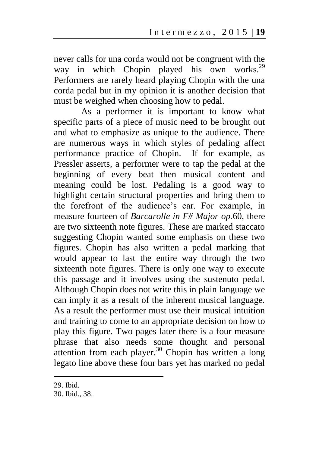never calls for una corda would not be congruent with the way in which Chopin played his own works.<sup>29</sup> Performers are rarely heard playing Chopin with the una corda pedal but in my opinion it is another decision that must be weighed when choosing how to pedal.

As a performer it is important to know what specific parts of a piece of music need to be brought out and what to emphasize as unique to the audience. There are numerous ways in which styles of pedaling affect performance practice of Chopin. If for example, as Pressler asserts, a performer were to tap the pedal at the beginning of every beat then musical content and meaning could be lost. Pedaling is a good way to highlight certain structural properties and bring them to the forefront of the audience's ear. For example, in measure fourteen of *Barcarolle in F# Major op.*60, there are two sixteenth note figures. These are marked staccato suggesting Chopin wanted some emphasis on these two figures. Chopin has also written a pedal marking that would appear to last the entire way through the two sixteenth note figures. There is only one way to execute this passage and it involves using the sustenuto pedal. Although Chopin does not write this in plain language we can imply it as a result of the inherent musical language. As a result the performer must use their musical intuition and training to come to an appropriate decision on how to play this figure. Two pages later there is a four measure phrase that also needs some thought and personal attention from each player.<sup>30</sup> Chopin has written a long legato line above these four bars yet has marked no pedal

<sup>29.</sup> Ibid.

<sup>30.</sup> Ibid., 38.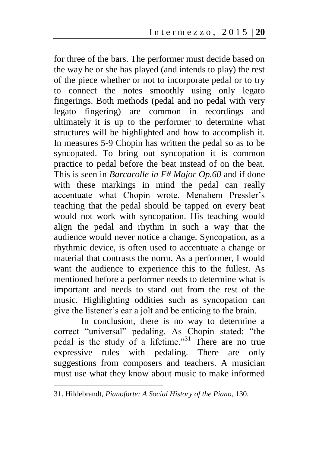for three of the bars. The performer must decide based on the way he or she has played (and intends to play) the rest of the piece whether or not to incorporate pedal or to try to connect the notes smoothly using only legato fingerings. Both methods (pedal and no pedal with very legato fingering) are common in recordings and ultimately it is up to the performer to determine what structures will be highlighted and how to accomplish it. In measures 5-9 Chopin has written the pedal so as to be syncopated. To bring out syncopation it is common practice to pedal before the beat instead of on the beat. This is seen in *Barcarolle in F# Major Op.60* and if done with these markings in mind the pedal can really accentuate what Chopin wrote. Menahem Pressler's teaching that the pedal should be tapped on every beat would not work with syncopation. His teaching would align the pedal and rhythm in such a way that the audience would never notice a change. Syncopation, as a rhythmic device, is often used to accentuate a change or material that contrasts the norm. As a performer, I would want the audience to experience this to the fullest. As mentioned before a performer needs to determine what is important and needs to stand out from the rest of the music. Highlighting oddities such as syncopation can give the listener's ear a jolt and be enticing to the brain.

In conclusion, there is no way to determine a correct "universal" pedaling. As Chopin stated: "the pedal is the study of a lifetime."<sup>31</sup> There are no true expressive rules with pedaling. There are only suggestions from composers and teachers. A musician must use what they know about music to make informed

<sup>31.</sup> Hildebrandt, *Pianoforte: A Social History of the Piano*, 130.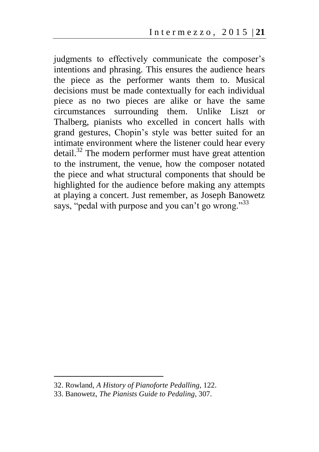judgments to effectively communicate the composer's intentions and phrasing. This ensures the audience hears the piece as the performer wants them to. Musical decisions must be made contextually for each individual piece as no two pieces are alike or have the same circumstances surrounding them. Unlike Liszt or Thalberg, pianists who excelled in concert halls with grand gestures, Chopin's style was better suited for an intimate environment where the listener could hear every detail.<sup>32</sup> The modern performer must have great attention to the instrument, the venue, how the composer notated the piece and what structural components that should be highlighted for the audience before making any attempts at playing a concert. Just remember, as Joseph Banowetz says, "pedal with purpose and you can't go wrong."33

<sup>32.</sup> Rowland, *A History of Pianoforte Pedalling*, 122.

<sup>33.</sup> Banowetz, *The Pianists Guide to Pedaling*, 307.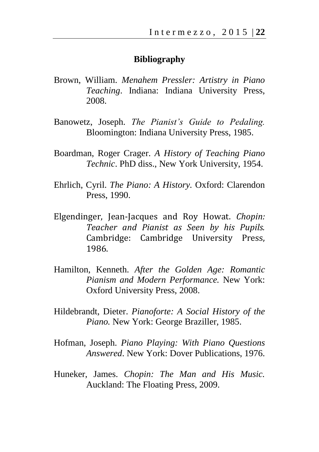## **Bibliography**

- Brown, William. *Menahem Pressler: Artistry in Piano Teaching*. Indiana: Indiana University Press, 2008.
- Banowetz, Joseph. *The Pianist's Guide to Pedaling.* Bloomington: Indiana University Press, 1985.
- Boardman, Roger Crager. *A History of Teaching Piano Technic*. PhD diss., New York University, 1954.
- Ehrlich, Cyril. *The Piano: A History.* Oxford: Clarendon Press, 1990.
- Elgendinger, Jean-Jacques and Roy Howat. *Chopin: Teacher and Pianist as Seen by his Pupils.* Cambridge: Cambridge University Press, 1986.
- Hamilton, Kenneth. *After the Golden Age: Romantic Pianism and Modern Performance.* New York: Oxford University Press, 2008.
- Hildebrandt, Dieter. *Pianoforte: A Social History of the Piano.* New York: George Braziller, 1985.
- Hofman, Joseph. *Piano Playing: With Piano Questions Answered*. New York: Dover Publications, 1976.
- Huneker, James. *Chopin: The Man and His Music.* Auckland: The Floating Press, 2009.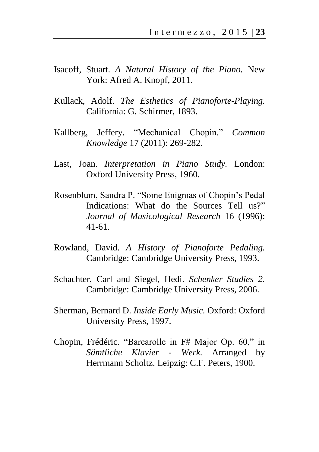- Isacoff, Stuart. *A Natural History of the Piano.* New York: Afred A. Knopf, 2011.
- Kullack, Adolf. *The Esthetics of Pianoforte-Playing.* California: G. Schirmer, 1893.
- Kallberg, Jeffery. "Mechanical Chopin." *Common Knowledge* 17 (2011): 269-282.
- Last, Joan. *Interpretation in Piano Study.* London: Oxford University Press, 1960.
- Rosenblum, Sandra P. "Some Enigmas of Chopin's Pedal Indications: What do the Sources Tell us?" *Journal of Musicological Research* 16 (1996): 41-61.
- Rowland, David. *A History of Pianoforte Pedaling.* Cambridge: Cambridge University Press, 1993.
- Schachter, Carl and Siegel, Hedi. *Schenker Studies 2.* Cambridge: Cambridge University Press, 2006.
- Sherman, Bernard D. *Inside Early Music.* Oxford: Oxford University Press, 1997.
- Chopin, Frédéric. "Barcarolle in F# Major Op. 60," in *Sämtliche Klavier - Werk.* Arranged by Herrmann Scholtz. Leipzig: C.F. Peters, 1900.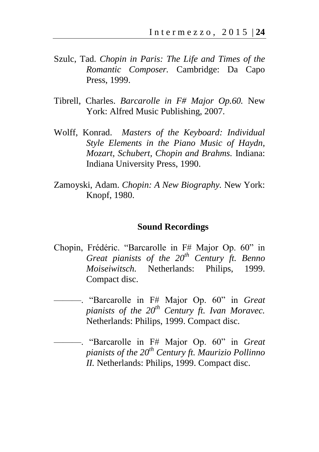- Szulc, Tad. *Chopin in Paris: The Life and Times of the Romantic Composer.* Cambridge: Da Capo Press, 1999.
- Tibrell, Charles. *Barcarolle in F# Major Op.60.* New York: Alfred Music Publishing, 2007.
- Wolff, Konrad. *Masters of the Keyboard: Individual Style Elements in the Piano Music of Haydn, Mozart, Schubert, Chopin and Brahms.* Indiana: Indiana University Press, 1990.
- Zamoyski, Adam. *Chopin: A New Biography.* New York: Knopf, 1980.

## **Sound Recordings**

- Chopin, Frédéric. "Barcarolle in F# Major Op. 60" in *Great pianists of the 20th Century ft. Benno Moiseiwitsch.* Netherlands: Philips, 1999. Compact disc.
	- ———. "Barcarolle in F# Major Op. 60" in *Great pianists of the 20th Century ft. Ivan Moravec.* Netherlands: Philips, 1999. Compact disc.

———. "Barcarolle in F# Major Op. 60" in *Great pianists of the 20th Century ft. Maurizio Pollinno II.* Netherlands: Philips, 1999. Compact disc.